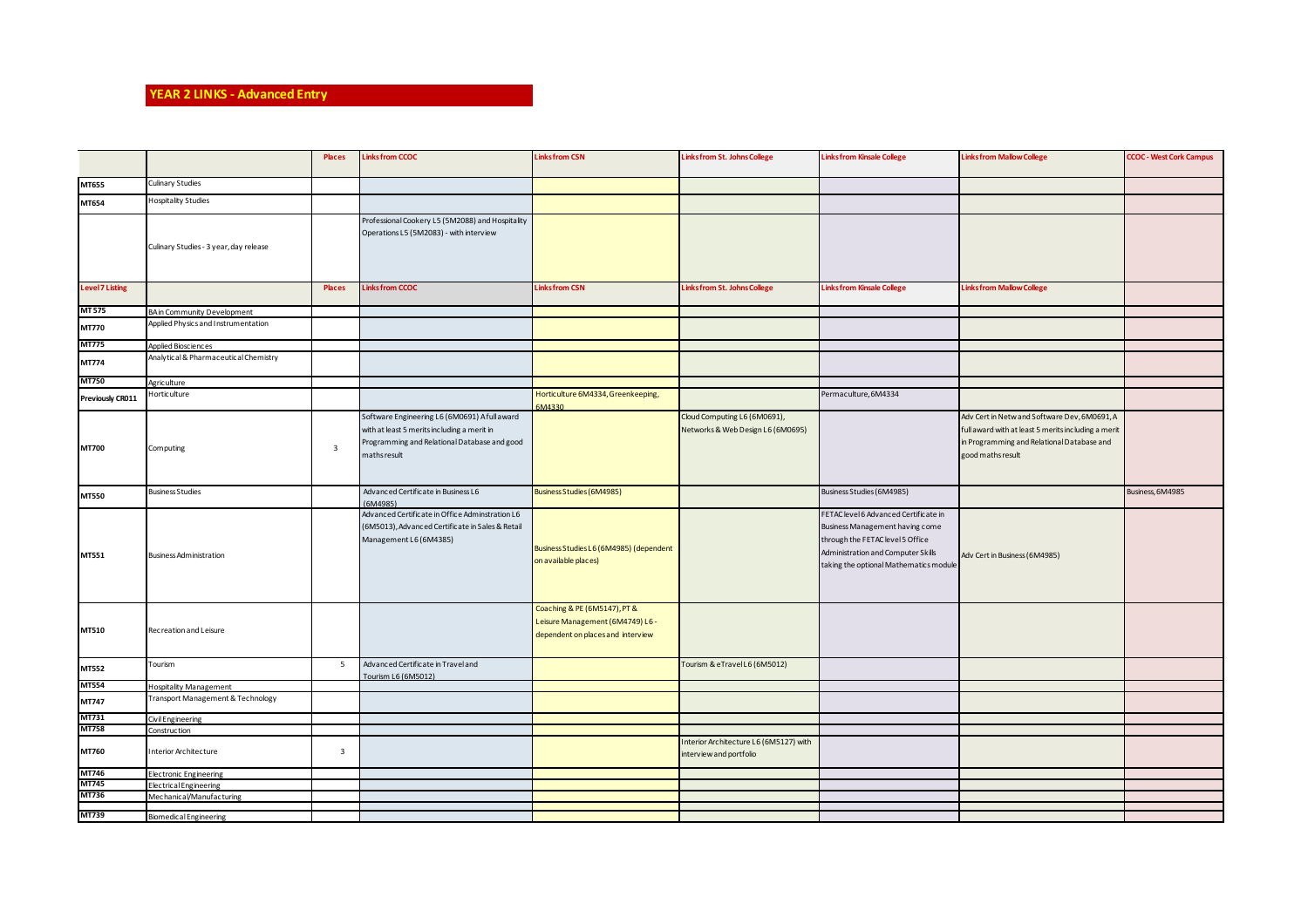## **YEAR 2 LINKS - Advanced Entry**

|                        |                                        | <b>Places</b>           | <b>Linksfrom CCOC</b>                                                                                                                                        | <b>Linksfrom CSN</b>                                                                                  | Links from St. Johns College                                      | <b>Linksfrom Kinsale College</b>                                                                                                                                                             | <b>Links from Mallow College</b>                                                                                                                                       | <b>CCOC - West Cork Campus</b> |
|------------------------|----------------------------------------|-------------------------|--------------------------------------------------------------------------------------------------------------------------------------------------------------|-------------------------------------------------------------------------------------------------------|-------------------------------------------------------------------|----------------------------------------------------------------------------------------------------------------------------------------------------------------------------------------------|------------------------------------------------------------------------------------------------------------------------------------------------------------------------|--------------------------------|
| MT655                  | Culinary Studies                       |                         |                                                                                                                                                              |                                                                                                       |                                                                   |                                                                                                                                                                                              |                                                                                                                                                                        |                                |
| MT654                  | <b>Hospitality Studies</b>             |                         |                                                                                                                                                              |                                                                                                       |                                                                   |                                                                                                                                                                                              |                                                                                                                                                                        |                                |
|                        | Culinary Studies - 3 year, day release |                         | Professional Cookery L5 (5M2088) and Hospitality<br>Operations L5 (5M2083) - with interview                                                                  |                                                                                                       |                                                                   |                                                                                                                                                                                              |                                                                                                                                                                        |                                |
| <b>Level 7 Listing</b> |                                        | Places                  | <b>Linksfrom CCOC</b>                                                                                                                                        | <b>Linksfrom CSN</b>                                                                                  | Links from St. Johns College                                      | <b>Links from Kinsale College</b>                                                                                                                                                            | <b>Links from Mallow College</b>                                                                                                                                       |                                |
| <b>MT 575</b>          | BA in Community Development            |                         |                                                                                                                                                              |                                                                                                       |                                                                   |                                                                                                                                                                                              |                                                                                                                                                                        |                                |
| MT770                  | Applied Physics and Instrumentation    |                         |                                                                                                                                                              |                                                                                                       |                                                                   |                                                                                                                                                                                              |                                                                                                                                                                        |                                |
| <b>MT775</b>           | Applied Biosciences                    |                         |                                                                                                                                                              |                                                                                                       |                                                                   |                                                                                                                                                                                              |                                                                                                                                                                        |                                |
| MT774                  | Analytical & Pharmaceutical Chemistry  |                         |                                                                                                                                                              |                                                                                                       |                                                                   |                                                                                                                                                                                              |                                                                                                                                                                        |                                |
| <b>MT750</b>           | Agriculture                            |                         |                                                                                                                                                              |                                                                                                       |                                                                   |                                                                                                                                                                                              |                                                                                                                                                                        |                                |
| Previously CR011       | Horticulture                           |                         |                                                                                                                                                              | Horticulture 6M4334, Greenkeeping,<br>6M4330                                                          |                                                                   | Permaculture, 6M4334                                                                                                                                                                         |                                                                                                                                                                        |                                |
| <b>MT700</b>           | Computing                              | $\overline{\mathbf{3}}$ | Software Engineering L6 (6M0691) A full award<br>with at least 5 merits including a merit in<br>Programming and Relational Database and good<br>maths result |                                                                                                       | Cloud Computing L6 (6M0691),<br>Networks & Web Design L6 (6M0695) |                                                                                                                                                                                              | Adv Cert in Netw and Software Dev, 6M0691, A<br>full award with at least 5 merits including a merit<br>in Programming and Relational Database and<br>good maths result |                                |
| <b>MT550</b>           | <b>Business Studies</b>                |                         | Advanced Certificate in Business L6<br>(6M4985)                                                                                                              | <b>Business Studies (6M4985)</b>                                                                      |                                                                   | Business Studies (6M4985)                                                                                                                                                                    |                                                                                                                                                                        | Business, 6M4985               |
| MT551                  | <b>Business Administration</b>         |                         | Advanced Certificate in Office Adminstration L6<br>(6M5013), Advanced Certificate in Sales & Retail<br>Management L6 (6M4385)                                | Business Studies L6 (6M4985) (dependent<br>on available places)                                       |                                                                   | FETAC level 6 Advanced Certificate in<br>Business Management having come<br>through the FETAC level 5 Office<br>Administration and Computer Skills<br>taking the optional Mathematics module | Adv Cert in Business (6M4985)                                                                                                                                          |                                |
| MT510                  | Recreation and Leisure                 |                         |                                                                                                                                                              | Coaching & PE (6M5147), PT &<br>Leisure Management (6M4749) L6 -<br>dependent on places and interview |                                                                   |                                                                                                                                                                                              |                                                                                                                                                                        |                                |
| MT552                  | Tourism                                | 5                       | Advanced Certificate in Travel and<br>Tourism L6 (6M5012)                                                                                                    |                                                                                                       | Tourism & eTravel L6 (6M5012)                                     |                                                                                                                                                                                              |                                                                                                                                                                        |                                |
| <b>MT554</b>           | <b>Hospitality Management</b>          |                         |                                                                                                                                                              |                                                                                                       |                                                                   |                                                                                                                                                                                              |                                                                                                                                                                        |                                |
| MT747                  | Transport Management & Technology      |                         |                                                                                                                                                              |                                                                                                       |                                                                   |                                                                                                                                                                                              |                                                                                                                                                                        |                                |
| MT731                  | Civil Engineering                      |                         |                                                                                                                                                              |                                                                                                       |                                                                   |                                                                                                                                                                                              |                                                                                                                                                                        |                                |
| <b>MT758</b>           | Construction                           |                         |                                                                                                                                                              |                                                                                                       |                                                                   |                                                                                                                                                                                              |                                                                                                                                                                        |                                |
| MT760                  | nterior Architecture                   | $\overline{\mathbf{3}}$ |                                                                                                                                                              |                                                                                                       | Interior Architecture L6 (6M5127) with<br>interview and portfolio |                                                                                                                                                                                              |                                                                                                                                                                        |                                |
| <b>MT746</b>           | <b>Electronic Engineering</b>          |                         |                                                                                                                                                              |                                                                                                       |                                                                   |                                                                                                                                                                                              |                                                                                                                                                                        |                                |
| MT745                  | <b>Electrical Engineering</b>          |                         |                                                                                                                                                              |                                                                                                       |                                                                   |                                                                                                                                                                                              |                                                                                                                                                                        |                                |
| MT736                  | Mechanical/Manufacturing               |                         |                                                                                                                                                              |                                                                                                       |                                                                   |                                                                                                                                                                                              |                                                                                                                                                                        |                                |
|                        |                                        |                         |                                                                                                                                                              |                                                                                                       |                                                                   |                                                                                                                                                                                              |                                                                                                                                                                        |                                |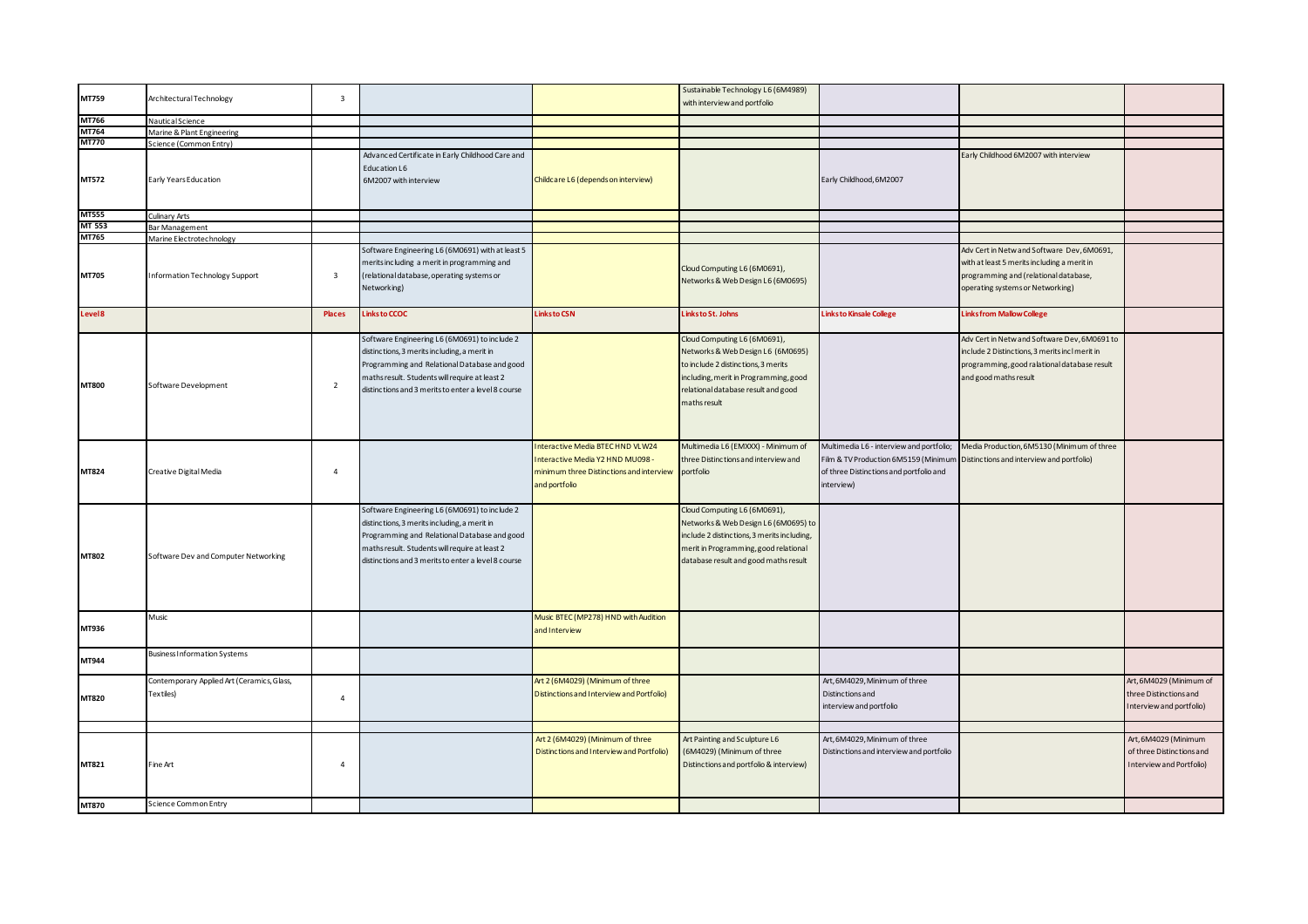| MT759<br>$\overline{\mathbf{3}}$<br>Architectural Technology<br>with interview and portfolio<br>MT766<br>Nautical Science<br>MT764<br>Marine & Plant Engineering<br><b>MT770</b><br>Science (Common Entry)<br>Advanced Certificate in Early Childhood Care and<br>Early Childhood 6M2007 with interview<br>Education L6<br>MT572<br>Early Years Education<br>Childcare L6 (depends on interview)<br>Early Childhood, 6M2007<br>6M2007 with interview<br><b>MT555</b><br>Culinary Arts<br>MT 553<br>Bar Management<br>MT765<br>Marine Electrotechnology<br>Software Engineering L6 (6M0691) with at least 5<br>Adv Cert in Netw and Software Dev, 6M0691,<br>merits including a merit in programming and<br>with at least 5 merits including a merit in<br>Cloud Computing L6 (6M0691),<br>MT705<br>Information Technology Support<br>$\overline{\mathbf{3}}$<br>(relational database, operating systems or<br>programming and (relational database,<br>Networks & Web Design L6 (6M0695)<br>Networking)<br>operating systems or Networking)<br><b>Links to CSN</b><br>Places<br>Linksto CCOC<br>Links to St. Johns<br><b>Links to Kinsale College</b><br><b>Linksfrom Mallow College</b><br>Level 8<br>Software Engineering L6 (6M0691) to include 2<br>Cloud Computing L6 (6M0691),<br>Adv Cert in Netw and Software Dev, 6M0691 to<br>distinctions, 3 merits including, a merit in<br>Networks & Web Design L6 (6M0695)<br>include 2 Distinctions, 3 merits incl merit in<br>Programming and Relational Database and good<br>to include 2 distinctions, 3 merits<br>programming, good ralational database result<br>including, merit in Programming, good<br>maths result. Students will require at least 2<br>and good maths result<br><b>MT800</b><br>Software Development<br>$\overline{2}$<br>relational database result and good<br>distinctions and 3 merits to enter a level 8 course<br>maths result<br>Interactive Media BTECHND VLW24<br>Multimedia L6 (EMXXX) - Minimum of<br>Multimedia L6 - interview and portfolio;<br>Media Production, 6M5130 (Minimum of three<br>Interactive Media Y2 HND MU098 -<br>three Distinctions and interview and<br>Film & TV Production 6M5159 (Minimur<br>Distinctions and interview and portfolio)<br>MT824<br>Creative Digital Media<br>$\overline{4}$<br>minimum three Distinctions and interview<br>of three Distinctions and portfolio and<br>portfolio<br>and portfolio<br>interview)<br>Software Engineering L6 (6M0691) to include 2<br>Cloud Computing L6 (6M0691),<br>distinctions, 3 merits including, a merit in<br>Networks & Web Design L6 (6M0695) to<br>Programming and Relational Database and good<br>include 2 distinctions, 3 merits including,<br>merit in Programming, good relational<br>maths result. Students will require at least 2<br>MT802<br>Software Dev and Computer Networking<br>distinctions and 3 merits to enter a level 8 course<br>database result and good maths result<br>Music<br>Music BTEC (MP278) HND with Audition<br>MT936<br>and Interview<br><b>Business Information Systems</b><br>MT944<br>Art, 6M4029, Minimum of three<br>Art, 6M4029 (Minimum of<br>Contemporary Applied Art (Ceramics, Glass,<br>Art 2 (6M4029) (Minimum of three<br>Textiles)<br>Distinctions and Interview and Portfolio)<br>Distinctions and<br>three Distinctions and<br>MT820<br>$\overline{4}$<br>interview and portfolio<br>nterview and portfolio)<br>Art, 6M4029, Minimum of three<br>Art, 6M4029 (Minimum<br>Art 2 (6M4029) (Minimum of three<br>Art Painting and Sculpture L6<br>Distinctions and Interview and Portfolio)<br>(6M4029) (Minimum of three<br>Distinctions and interview and portfolio<br>of three Distinctions and<br>MT821<br>Distinctions and portfolio & interview)<br>Fine Art<br>$\overline{4}$<br>Interview and Portfolio)<br>Science Common Entry<br>MT870 |  |  | Sustainable Technology L6 (6M4989) |  |  |
|-------------------------------------------------------------------------------------------------------------------------------------------------------------------------------------------------------------------------------------------------------------------------------------------------------------------------------------------------------------------------------------------------------------------------------------------------------------------------------------------------------------------------------------------------------------------------------------------------------------------------------------------------------------------------------------------------------------------------------------------------------------------------------------------------------------------------------------------------------------------------------------------------------------------------------------------------------------------------------------------------------------------------------------------------------------------------------------------------------------------------------------------------------------------------------------------------------------------------------------------------------------------------------------------------------------------------------------------------------------------------------------------------------------------------------------------------------------------------------------------------------------------------------------------------------------------------------------------------------------------------------------------------------------------------------------------------------------------------------------------------------------------------------------------------------------------------------------------------------------------------------------------------------------------------------------------------------------------------------------------------------------------------------------------------------------------------------------------------------------------------------------------------------------------------------------------------------------------------------------------------------------------------------------------------------------------------------------------------------------------------------------------------------------------------------------------------------------------------------------------------------------------------------------------------------------------------------------------------------------------------------------------------------------------------------------------------------------------------------------------------------------------------------------------------------------------------------------------------------------------------------------------------------------------------------------------------------------------------------------------------------------------------------------------------------------------------------------------------------------------------------------------------------------------------------------------------------------------------------------------------------------------------------------------------------------------------------------------------------------------------------------------------------------------------------------------------------------------------------------------------------------------------------------------------------------------------------------------------------------------------------------------------------------------------------------------------------------------------------------------------------------------------------------------------------------------------------------------------------------------|--|--|------------------------------------|--|--|
|                                                                                                                                                                                                                                                                                                                                                                                                                                                                                                                                                                                                                                                                                                                                                                                                                                                                                                                                                                                                                                                                                                                                                                                                                                                                                                                                                                                                                                                                                                                                                                                                                                                                                                                                                                                                                                                                                                                                                                                                                                                                                                                                                                                                                                                                                                                                                                                                                                                                                                                                                                                                                                                                                                                                                                                                                                                                                                                                                                                                                                                                                                                                                                                                                                                                                                                                                                                                                                                                                                                                                                                                                                                                                                                                                                                                                                                                   |  |  |                                    |  |  |
|                                                                                                                                                                                                                                                                                                                                                                                                                                                                                                                                                                                                                                                                                                                                                                                                                                                                                                                                                                                                                                                                                                                                                                                                                                                                                                                                                                                                                                                                                                                                                                                                                                                                                                                                                                                                                                                                                                                                                                                                                                                                                                                                                                                                                                                                                                                                                                                                                                                                                                                                                                                                                                                                                                                                                                                                                                                                                                                                                                                                                                                                                                                                                                                                                                                                                                                                                                                                                                                                                                                                                                                                                                                                                                                                                                                                                                                                   |  |  |                                    |  |  |
|                                                                                                                                                                                                                                                                                                                                                                                                                                                                                                                                                                                                                                                                                                                                                                                                                                                                                                                                                                                                                                                                                                                                                                                                                                                                                                                                                                                                                                                                                                                                                                                                                                                                                                                                                                                                                                                                                                                                                                                                                                                                                                                                                                                                                                                                                                                                                                                                                                                                                                                                                                                                                                                                                                                                                                                                                                                                                                                                                                                                                                                                                                                                                                                                                                                                                                                                                                                                                                                                                                                                                                                                                                                                                                                                                                                                                                                                   |  |  |                                    |  |  |
|                                                                                                                                                                                                                                                                                                                                                                                                                                                                                                                                                                                                                                                                                                                                                                                                                                                                                                                                                                                                                                                                                                                                                                                                                                                                                                                                                                                                                                                                                                                                                                                                                                                                                                                                                                                                                                                                                                                                                                                                                                                                                                                                                                                                                                                                                                                                                                                                                                                                                                                                                                                                                                                                                                                                                                                                                                                                                                                                                                                                                                                                                                                                                                                                                                                                                                                                                                                                                                                                                                                                                                                                                                                                                                                                                                                                                                                                   |  |  |                                    |  |  |
|                                                                                                                                                                                                                                                                                                                                                                                                                                                                                                                                                                                                                                                                                                                                                                                                                                                                                                                                                                                                                                                                                                                                                                                                                                                                                                                                                                                                                                                                                                                                                                                                                                                                                                                                                                                                                                                                                                                                                                                                                                                                                                                                                                                                                                                                                                                                                                                                                                                                                                                                                                                                                                                                                                                                                                                                                                                                                                                                                                                                                                                                                                                                                                                                                                                                                                                                                                                                                                                                                                                                                                                                                                                                                                                                                                                                                                                                   |  |  |                                    |  |  |
|                                                                                                                                                                                                                                                                                                                                                                                                                                                                                                                                                                                                                                                                                                                                                                                                                                                                                                                                                                                                                                                                                                                                                                                                                                                                                                                                                                                                                                                                                                                                                                                                                                                                                                                                                                                                                                                                                                                                                                                                                                                                                                                                                                                                                                                                                                                                                                                                                                                                                                                                                                                                                                                                                                                                                                                                                                                                                                                                                                                                                                                                                                                                                                                                                                                                                                                                                                                                                                                                                                                                                                                                                                                                                                                                                                                                                                                                   |  |  |                                    |  |  |
|                                                                                                                                                                                                                                                                                                                                                                                                                                                                                                                                                                                                                                                                                                                                                                                                                                                                                                                                                                                                                                                                                                                                                                                                                                                                                                                                                                                                                                                                                                                                                                                                                                                                                                                                                                                                                                                                                                                                                                                                                                                                                                                                                                                                                                                                                                                                                                                                                                                                                                                                                                                                                                                                                                                                                                                                                                                                                                                                                                                                                                                                                                                                                                                                                                                                                                                                                                                                                                                                                                                                                                                                                                                                                                                                                                                                                                                                   |  |  |                                    |  |  |
|                                                                                                                                                                                                                                                                                                                                                                                                                                                                                                                                                                                                                                                                                                                                                                                                                                                                                                                                                                                                                                                                                                                                                                                                                                                                                                                                                                                                                                                                                                                                                                                                                                                                                                                                                                                                                                                                                                                                                                                                                                                                                                                                                                                                                                                                                                                                                                                                                                                                                                                                                                                                                                                                                                                                                                                                                                                                                                                                                                                                                                                                                                                                                                                                                                                                                                                                                                                                                                                                                                                                                                                                                                                                                                                                                                                                                                                                   |  |  |                                    |  |  |
|                                                                                                                                                                                                                                                                                                                                                                                                                                                                                                                                                                                                                                                                                                                                                                                                                                                                                                                                                                                                                                                                                                                                                                                                                                                                                                                                                                                                                                                                                                                                                                                                                                                                                                                                                                                                                                                                                                                                                                                                                                                                                                                                                                                                                                                                                                                                                                                                                                                                                                                                                                                                                                                                                                                                                                                                                                                                                                                                                                                                                                                                                                                                                                                                                                                                                                                                                                                                                                                                                                                                                                                                                                                                                                                                                                                                                                                                   |  |  |                                    |  |  |
|                                                                                                                                                                                                                                                                                                                                                                                                                                                                                                                                                                                                                                                                                                                                                                                                                                                                                                                                                                                                                                                                                                                                                                                                                                                                                                                                                                                                                                                                                                                                                                                                                                                                                                                                                                                                                                                                                                                                                                                                                                                                                                                                                                                                                                                                                                                                                                                                                                                                                                                                                                                                                                                                                                                                                                                                                                                                                                                                                                                                                                                                                                                                                                                                                                                                                                                                                                                                                                                                                                                                                                                                                                                                                                                                                                                                                                                                   |  |  |                                    |  |  |
|                                                                                                                                                                                                                                                                                                                                                                                                                                                                                                                                                                                                                                                                                                                                                                                                                                                                                                                                                                                                                                                                                                                                                                                                                                                                                                                                                                                                                                                                                                                                                                                                                                                                                                                                                                                                                                                                                                                                                                                                                                                                                                                                                                                                                                                                                                                                                                                                                                                                                                                                                                                                                                                                                                                                                                                                                                                                                                                                                                                                                                                                                                                                                                                                                                                                                                                                                                                                                                                                                                                                                                                                                                                                                                                                                                                                                                                                   |  |  |                                    |  |  |
|                                                                                                                                                                                                                                                                                                                                                                                                                                                                                                                                                                                                                                                                                                                                                                                                                                                                                                                                                                                                                                                                                                                                                                                                                                                                                                                                                                                                                                                                                                                                                                                                                                                                                                                                                                                                                                                                                                                                                                                                                                                                                                                                                                                                                                                                                                                                                                                                                                                                                                                                                                                                                                                                                                                                                                                                                                                                                                                                                                                                                                                                                                                                                                                                                                                                                                                                                                                                                                                                                                                                                                                                                                                                                                                                                                                                                                                                   |  |  |                                    |  |  |
|                                                                                                                                                                                                                                                                                                                                                                                                                                                                                                                                                                                                                                                                                                                                                                                                                                                                                                                                                                                                                                                                                                                                                                                                                                                                                                                                                                                                                                                                                                                                                                                                                                                                                                                                                                                                                                                                                                                                                                                                                                                                                                                                                                                                                                                                                                                                                                                                                                                                                                                                                                                                                                                                                                                                                                                                                                                                                                                                                                                                                                                                                                                                                                                                                                                                                                                                                                                                                                                                                                                                                                                                                                                                                                                                                                                                                                                                   |  |  |                                    |  |  |
|                                                                                                                                                                                                                                                                                                                                                                                                                                                                                                                                                                                                                                                                                                                                                                                                                                                                                                                                                                                                                                                                                                                                                                                                                                                                                                                                                                                                                                                                                                                                                                                                                                                                                                                                                                                                                                                                                                                                                                                                                                                                                                                                                                                                                                                                                                                                                                                                                                                                                                                                                                                                                                                                                                                                                                                                                                                                                                                                                                                                                                                                                                                                                                                                                                                                                                                                                                                                                                                                                                                                                                                                                                                                                                                                                                                                                                                                   |  |  |                                    |  |  |
|                                                                                                                                                                                                                                                                                                                                                                                                                                                                                                                                                                                                                                                                                                                                                                                                                                                                                                                                                                                                                                                                                                                                                                                                                                                                                                                                                                                                                                                                                                                                                                                                                                                                                                                                                                                                                                                                                                                                                                                                                                                                                                                                                                                                                                                                                                                                                                                                                                                                                                                                                                                                                                                                                                                                                                                                                                                                                                                                                                                                                                                                                                                                                                                                                                                                                                                                                                                                                                                                                                                                                                                                                                                                                                                                                                                                                                                                   |  |  |                                    |  |  |
|                                                                                                                                                                                                                                                                                                                                                                                                                                                                                                                                                                                                                                                                                                                                                                                                                                                                                                                                                                                                                                                                                                                                                                                                                                                                                                                                                                                                                                                                                                                                                                                                                                                                                                                                                                                                                                                                                                                                                                                                                                                                                                                                                                                                                                                                                                                                                                                                                                                                                                                                                                                                                                                                                                                                                                                                                                                                                                                                                                                                                                                                                                                                                                                                                                                                                                                                                                                                                                                                                                                                                                                                                                                                                                                                                                                                                                                                   |  |  |                                    |  |  |
|                                                                                                                                                                                                                                                                                                                                                                                                                                                                                                                                                                                                                                                                                                                                                                                                                                                                                                                                                                                                                                                                                                                                                                                                                                                                                                                                                                                                                                                                                                                                                                                                                                                                                                                                                                                                                                                                                                                                                                                                                                                                                                                                                                                                                                                                                                                                                                                                                                                                                                                                                                                                                                                                                                                                                                                                                                                                                                                                                                                                                                                                                                                                                                                                                                                                                                                                                                                                                                                                                                                                                                                                                                                                                                                                                                                                                                                                   |  |  |                                    |  |  |
|                                                                                                                                                                                                                                                                                                                                                                                                                                                                                                                                                                                                                                                                                                                                                                                                                                                                                                                                                                                                                                                                                                                                                                                                                                                                                                                                                                                                                                                                                                                                                                                                                                                                                                                                                                                                                                                                                                                                                                                                                                                                                                                                                                                                                                                                                                                                                                                                                                                                                                                                                                                                                                                                                                                                                                                                                                                                                                                                                                                                                                                                                                                                                                                                                                                                                                                                                                                                                                                                                                                                                                                                                                                                                                                                                                                                                                                                   |  |  |                                    |  |  |
|                                                                                                                                                                                                                                                                                                                                                                                                                                                                                                                                                                                                                                                                                                                                                                                                                                                                                                                                                                                                                                                                                                                                                                                                                                                                                                                                                                                                                                                                                                                                                                                                                                                                                                                                                                                                                                                                                                                                                                                                                                                                                                                                                                                                                                                                                                                                                                                                                                                                                                                                                                                                                                                                                                                                                                                                                                                                                                                                                                                                                                                                                                                                                                                                                                                                                                                                                                                                                                                                                                                                                                                                                                                                                                                                                                                                                                                                   |  |  |                                    |  |  |
|                                                                                                                                                                                                                                                                                                                                                                                                                                                                                                                                                                                                                                                                                                                                                                                                                                                                                                                                                                                                                                                                                                                                                                                                                                                                                                                                                                                                                                                                                                                                                                                                                                                                                                                                                                                                                                                                                                                                                                                                                                                                                                                                                                                                                                                                                                                                                                                                                                                                                                                                                                                                                                                                                                                                                                                                                                                                                                                                                                                                                                                                                                                                                                                                                                                                                                                                                                                                                                                                                                                                                                                                                                                                                                                                                                                                                                                                   |  |  |                                    |  |  |